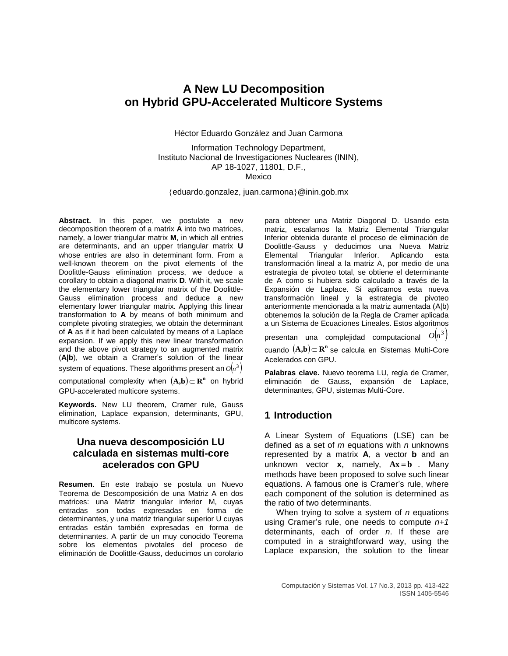# **A New LU Decomposition on Hybrid GPU-Accelerated Multicore Systems**

Héctor Eduardo González and Juan Carmona

Information Technology Department, Instituto Nacional de Investigaciones Nucleares (ININ), AP 18-1027, 11801, D.F., Mexico

[eduardo.gonzalez, juan.carmona](mailto:eduardo.gonzalez@inin.gob.mx)@inin.gob.mx

**Abstract.** In this paper, we postulate a new decomposition theorem of a matrix **A** into two matrices, namely, a lower triangular matrix **M**, in which all entries are determinants, and an upper triangular matrix **U** whose entries are also in determinant form. From a well-known theorem on the pivot elements of the Doolittle-Gauss elimination process, we deduce a corollary to obtain a diagonal matrix **D**. With it, we scale the elementary lower triangular matrix of the Doolittle-Gauss elimination process and deduce a new elementary lower triangular matrix. Applying this linear transformation to **A** by means of both minimum and complete pivoting strategies, we obtain the determinant of **A** as if it had been calculated by means of a Laplace expansion. If we apply this new linear transformation and the above pivot strategy to an augmented matrix (**A|b**), we obtain a Cramer's solution of the linear system of equations. These algorithms present an  $O(n^3)$ 

computational complexity when  $(A,b) \subset \mathbb{R}^n$  on hybrid GPU-accelerated multicore systems.

**Keywords.** New LU theorem, Cramer rule, Gauss elimination, Laplace expansion, determinants, GPU, multicore systems.

## **Una nueva descomposición LU calculada en sistemas multi-core acelerados con GPU**

**Resumen**. En este trabajo se postula un Nuevo Teorema de Descomposición de una Matriz A en dos matrices: una Matriz triangular inferior M, cuyas entradas son todas expresadas en forma de determinantes, y una matriz triangular superior U cuyas entradas están también expresadas en forma de determinantes. A partir de un muy conocido Teorema sobre los elementos pivotales del proceso de eliminación de Doolittle-Gauss, deducimos un corolario

para obtener una Matriz Diagonal D. Usando esta matriz, escalamos la Matriz Elemental Triangular Inferior obtenida durante el proceso de eliminación de Doolittle-Gauss y deducimos una Nueva Matriz Triangular Inferior. Aplicando esta transformación lineal a la matriz A, por medio de una estrategia de pivoteo total, se obtiene el determinante de A como si hubiera sido calculado a través de la Expansión de Laplace. Si aplicamos esta nueva transformación lineal y la estrategia de pivoteo anteriormente mencionada a la matriz aumentada (A|b) obtenemos la solución de la Regla de Cramer aplicada a un Sistema de Ecuaciones Lineales. Estos algoritmos

presentan una complejidad computacional  $O(n^3)$ cuando  $(A,b)$   $\subset$   $\mathbb{R}^n$  se calcula en Sistemas Multi-Core Acelerados con GPU.

**Palabras clave.** Nuevo teorema LU, regla de Cramer, eliminación de Gauss, expansión de Laplace, determinantes, GPU, sistemas Multi-Core.

## **1 Introduction**

A Linear System of Equations (LSE) can be defined as a set of *m* equations with *n* unknowns represented by a matrix **A**, a vector **b** and an unknown vector **x**, namely,  $Ax = b$  . Many methods have been proposed to solve such linear equations. A famous one is Cramer's rule, where each component of the solution is determined as the ratio of two determinants.

When trying to solve a system of *n* equations using Cramer's rule, one needs to compute *n+1* determinants, each of order *n*. If these are computed in a straightforward way, using the Laplace expansion, the solution to the linear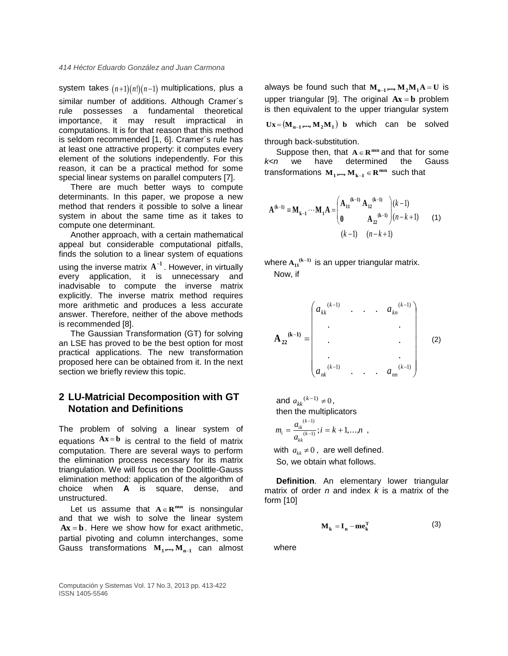system takes  $(n+1)(n!)(n-1)$  multiplications, plus a similar number of additions. Although Cramer´s rule possesses a fundamental theoretical importance, it may result impractical in computations. It is for that reason that this method is seldom recommended [1, 6]. Cramer´s rule has at least one attractive property: it computes every element of the solutions independently. For this reason, it can be a practical method for some special linear systems on parallel computers [7].

There are much better ways to compute determinants. In this paper, we propose a new method that renders it possible to solve a linear system in about the same time as it takes to compute one determinant.

Another approach, with a certain mathematical appeal but considerable computational pitfalls, finds the solution to a linear system of equations using the inverse matrix  $A^{-1}$ . However, in virtually every application, it is unnecessary and inadvisable to compute the inverse matrix explicitly. The inverse matrix method requires more arithmetic and produces a less accurate answer. Therefore, neither of the above methods is recommended [8].

The Gaussian Transformation (GT) for solving an LSE has proved to be the best option for most practical applications. The new transformation proposed here can be obtained from it. In the next section we briefly review this topic.

## **2 LU-Matricial Decomposition with GT Notation and Definitions**

The problem of solving a linear system of equations  $Ax = b$  is central to the field of matrix computation. There are several ways to perform the elimination process necessary for its matrix triangulation. We will focus on the Doolittle-Gauss elimination method: application of the algorithm of choice when **A** is square, dense, and unstructured.

Let us assume that  $A \in \mathbb{R}^{m \times n}$  is nonsingular and that we wish to solve the linear system  $Ax = b$ . Here we show how for exact arithmetic, partial pivoting and column interchanges, some Gauss transformations  $M_1$ , ,...,  $M_{n-1}$  can almost

Computación y Sistemas Vol. 17 No.3, 2013 pp. 413-422 ISSN 1405-5546

always be found such that  $M_{n-1}$ ,...,  $M_2M_1A = U$  is upper triangular [9]. The original  $Ax = b$  problem is then equivalent to the upper triangular system  $\mathbf{Ux} = (\mathbf{M}_{n-1}, \dots, \mathbf{M}_2 \mathbf{M}_1)$  b which can be solved through back-substitution.

Suppose then, that  $A \in \mathbb{R}^{m \times n}$  and that for some *k<n* we have determined the Gauss transformations  $M_1$ , ...,  $M_{k-1} \in \mathbb{R}^{m \times n}$  such that

$$
\mathbf{A}^{(k-1)} = \mathbf{M}_{k-1} \cdots \mathbf{M}_1 \mathbf{A} = \begin{pmatrix} \mathbf{A}_{11}^{(k-1)} & \mathbf{A}_{12}^{(k-1)} \\ \mathbf{0} & \mathbf{A}_{22}^{(k-1)} \end{pmatrix} \begin{pmatrix} k-1 \\ (n-k+1) \end{pmatrix} \tag{1}
$$
  
(k-1)  $(n-k+1)$ 

where  $A_{11}^{(k-1)}$  is an upper triangular matrix. Now, if

$$
\mathbf{A}_{22}^{(k-1)} = \begin{pmatrix} a_{kk}^{(k-1)} & \cdots & a_{kn}^{(k-1)} \\ \vdots & \ddots & \vdots \\ a_{nk}^{(k-1)} & \cdots & a_{nn}^{(k-1)} \end{pmatrix} \tag{2}
$$

and  $a_{kk}^{(k-1)} \neq 0$ , then the multiplicators  $i = k + 1, \ldots, n$ *a*  $m_i = \frac{a_{ik}^{(k)}}{a_{kk}}$  $b_i = \frac{a_{ik}^{(k-1)}}{(k-1)}$ ;  $i = k+1,...,$  $(k-1)$  $=\frac{a_{ik}}{(k-1)}$ ;  $i = k +$ <sup>-</sup> ,

with  $a_{kk} \neq 0$ , are well defined. So, we obtain what follows.

**Definition**. An elementary lower triangular matrix of order *n* and index *k* is a matrix of the form [10]

$$
\mathbf{M}_{k} = \mathbf{I}_{n} - \mathbf{m} \mathbf{e}_{k}^{T}
$$
 (3)

where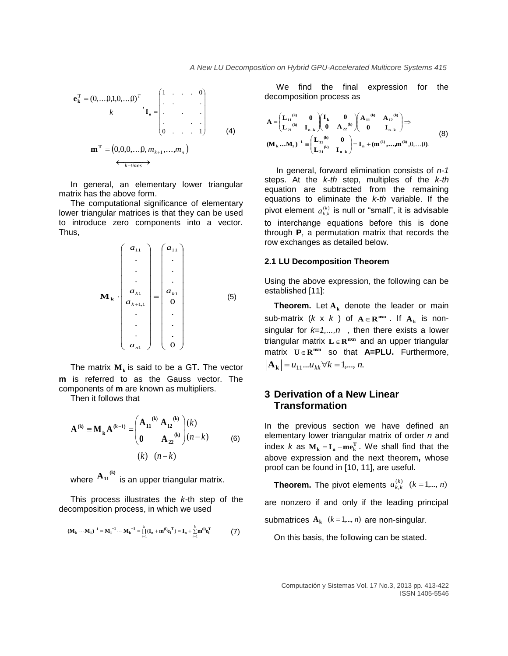$$
\mathbf{e}_{k}^{\mathrm{T}} = (0, \dots, 0, 1, 0, \dots, 0)^{\mathrm{T}} \mathbf{I}_{n} = \begin{pmatrix} 1 & \cdots & 0 \\ \vdots & \vdots & \ddots & \vdots \\ \vdots & \vdots & \ddots & \vdots \\ 0 & \cdots & 1 & 1 \end{pmatrix} \tag{4}
$$
\n
$$
\mathbf{m}^{\mathrm{T}} = (0, 0, 0, \dots, 0, m_{k+1}, \dots, m_{n})
$$

In general, an elementary lower triangular matrix has the above form.

The computational significance of elementary lower triangular matrices is that they can be used to introduce zero components into a vector. Thus,

 0 . . . 0 . . . . . . . . . 1 11 1 1,1 1 11 *k n k <sup>k</sup> a a a a a a* **M<sup>k</sup>** (5)

The matrix **M<sup>k</sup>** is said to be a GT**.** The vector **m** is referred to as the Gauss vector. The components of **m** are known as multipliers.

Then it follows that

$$
\mathbf{A}^{(k)} = \mathbf{M}_{k} \mathbf{A}^{(k-1)} = \begin{pmatrix} \mathbf{A}_{11}^{(k)} & \mathbf{A}_{12}^{(k)} \\ \mathbf{0} & \mathbf{A}_{22}^{(k)} \end{pmatrix} \begin{pmatrix} k \\ (n-k) \end{pmatrix}
$$
  
(k)  $(n-k)$  (6)

where  $\frac{A_{11}^{(k)}}{B_{11}}$  is an upper triangular matrix.

This process illustrates the *k-*th step of the decomposition process, in which we used

$$
(M^{}_k\cdots M^{}_1)^{-1}=M^{-1}_1\cdots M^{-1}_k=\prod_{i=1}^{\dot{f}}(I^{}_n+m^{(i)}e^{\,T}_i)=I^{}_n+\sum_{i=1}^{\dot{f}}m^{(i)}e^{\,T}_i\qquad \qquad \textbf{(7)}
$$

We find the final expression for the decomposition process as

$$
A = \begin{pmatrix} L_{11}^{(6)} & 0 \\ L_{21}^{(6)} & I_{n-k} \end{pmatrix} \begin{pmatrix} I_k & 0 \\ 0 & A_{22}^{(6)} \end{pmatrix} \begin{pmatrix} A_{11}^{(6)} & A_{12}^{(6)} \\ 0 & I_{n-k} \end{pmatrix} \Rightarrow
$$
  
\n
$$
(M_k ... M_1)^{-1} = \begin{pmatrix} L_{11}^{(6)} & 0 \\ L_{21}^{(6)} & I_{n-k} \end{pmatrix} = I_n + (m^{(1)}, ..., m^{(6)}, 0, ... 0).
$$
 (8)

In general, forward elimination consists of *n-1* steps. At the *k-th* step, multiples of the *k-th* equation are subtracted from the remaining equations to eliminate the *k-th* variable. If the pivot element  $a_{k,k}^{(k)}$  is null or "small", it is advisable to interchange equations before this is done through **P**, a permutation matrix that records the row exchanges as detailed below.

#### **2.1 LU Decomposition Theorem**

Using the above expression, the following can be established [11]:

**Theorem.** Let **A<sup>k</sup>** denote the leader or main sub-matrix  $(k \times k)$  of  $A \in \mathbb{R}^{m \times n}$ . If  $A_k$  is nonsingular for  $k=1,...,n$ , then there exists a lower triangular matrix  $L \in \mathbb{R}^{m \times n}$  and an upper triangular  $matrix$   $U \in \mathbb{R}^{mxn}$  so that **A=PLU**. Furthermore,  $\mathbf{A_k}$  =  $u_{11}...u_{kk}$   $\forall k = 1,..., n$ .

## **3 Derivation of a New Linear Transformation**

In the previous section we have defined an elementary lower triangular matrix of order *n* and index *k* as  $M_k = I_n - me_k^T$ . We shall find that the above expression and the next theorem**,** whose proof can be found in [10, 11], are useful.

**Theorem.** The pivot elements  $a_{k,k}^{(k)}$   $(k = 1,..., n)$ 

are nonzero if and only if the leading principal

submatrices  $A_k$   $(k = 1, ..., n)$  are non-singular.

On this basis, the following can be stated.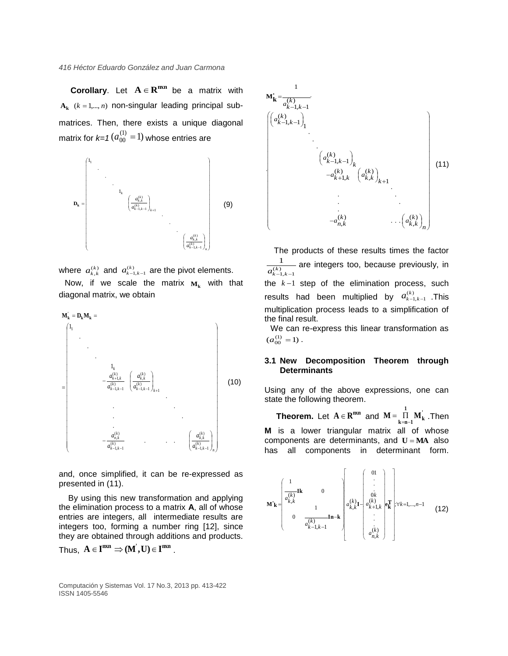**Corollary**. Let  $A \in \mathbb{R}^{m \times n}$  be a matrix with  $A_k$  ( $k = 1,...,n$ ) non-singular leading principal submatrices. Then, there exists a unique diagonal matrix for  $k=1$   $(a_{00}^{(1)} = 1)$  whose entries are



where  $a_{k,k}^{(k)}$  and  $a_{k-1,k-1}^{(k)}$  are the pivot elements. Now, if we scale the matrix  $M_k$  with that diagonal matrix, we obtain



and, once simplified, it can be re-expressed as presented in (11).

By using this new transformation and applying the elimination process to a matrix **A**, all of whose entries are integers, all intermediate results are integers too, forming a number ring [12], since they are obtained through additions and products.

Thus, 
$$
A \in I^{m x n} \Rightarrow (M', U) \in I^{m x n}
$$
.

Computación y Sistemas Vol. 17 No.3, 2013 pp. 413-422 ISSN 1405-5546



The products of these results times the factor  $(k)$ <br> $k-1, k-1$ 1  $\frac{1}{a_{k-1,k-1}^{(k)}}$  are integers too, because previously, in the  $k-1$  step of the elimination process, such results had been multiplied by  $a_{k-1,k-1}^{(k)}$  . This multiplication process leads to a simplification of the final result.

We can re-express this linear transformation as  $(a_{00}^{(1)} = 1)$ .

#### **3.1 New Decomposition Theorem through Determinants**

Using any of the above expressions, one can state the following theorem.

**Theorem.** Let  $A \in \mathbb{R}^{n \times n}$  and  $M = \prod_{k=1}^{n} M_k^k$ **1**  $M = \prod_{k=n-1}^{n} M_k$ . Then **M** is a lower triangular matrix all of whose components are determinants, and  $U = MA$  also has all components in determinant form.

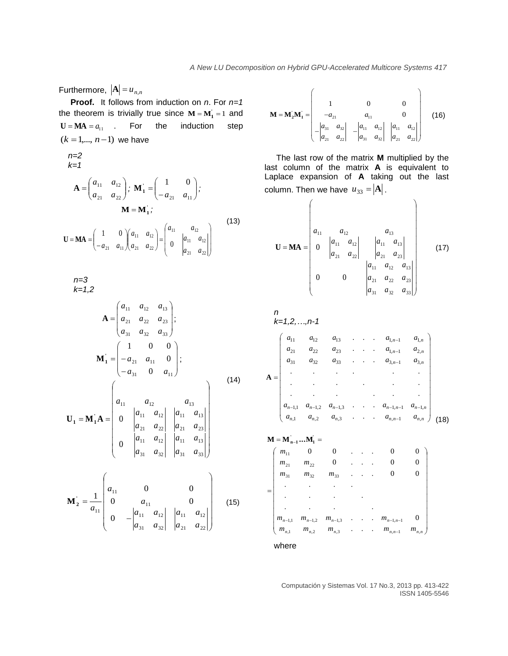Furthermore,  $|\mathbf{A}| = u_{n,n}$ 

**Proof.** It follows from induction on *n*. For *n=1* the theorem is trivially true since  $M = M_1 = 1$  and  $U = MA = a_{11}$  . For the induction step  $(k = 1,..., n-1)$  we have

$$
n=2
$$
  
\n
$$
k=1
$$
  
\n
$$
\mathbf{A} = \begin{pmatrix} a_{11} & a_{12} \\ a_{21} & a_{22} \end{pmatrix}; \mathbf{M}_{1}^{'} = \begin{pmatrix} 1 & 0 \\ -a_{21} & a_{11} \end{pmatrix};
$$
  
\n
$$
\mathbf{M} = \mathbf{M}_{1}^{'};
$$
  
\n
$$
\mathbf{U} = \mathbf{M}\mathbf{A} = \begin{pmatrix} 1 & 0 \\ -a_{21} & a_{11} \end{pmatrix} \begin{pmatrix} a_{11} & a_{12} \\ a_{21} & a_{22} \end{pmatrix} = \begin{pmatrix} a_{11} & a_{12} \\ 0 & a_{11} & a_{12} \\ a_{21} & a_{22} \end{pmatrix}
$$
\n(13)

*n=3 k=1,2*

$$
\mathbf{A} = \begin{pmatrix} a_{11} & a_{12} & a_{13} \\ a_{21} & a_{22} & a_{23} \\ a_{31} & a_{32} & a_{33} \end{pmatrix};
$$

$$
\mathbf{M}_{1}^{'} = \begin{pmatrix} 1 & 0 & 0 \\ -a_{21} & a_{11} & 0 \\ -a_{31} & 0 & a_{11} \end{pmatrix};
$$

$$
\begin{pmatrix} a_{11} & a_{12} & a_{13} \end{pmatrix}
$$
(14)

$$
\mathbf{U}_1 = \mathbf{M}_1 \mathbf{A} = \begin{bmatrix} a_{11} & a_{12} & a_{13} \\ 0 & a_{21} & a_{22} & a_{23} \\ 0 & a_{31} & a_{32} & a_{33} \end{bmatrix}
$$

$$
\mathbf{M}_{2}^{'} = \frac{1}{a_{11}} \begin{pmatrix} a_{11} & 0 & 0 \\ 0 & a_{11} & 0 \\ 0 & -\begin{vmatrix} a_{11} & a_{12} \\ a_{31} & a_{32} \end{vmatrix} & \begin{vmatrix} a_{11} & a_{12} \\ a_{21} & a_{22} \end{vmatrix} \end{pmatrix}
$$
(15)

 $\overline{\phantom{0}}$ 

$$
\mathbf{M} = \mathbf{M}_{2} \mathbf{M}_{1} = \begin{bmatrix} 1 & 0 & 0 \\ -a_{21} & a_{11} & 0 \\ -a_{31} & a_{32} \\ a_{21} & a_{22} \end{bmatrix} - \begin{vmatrix} a_{11} & a_{12} \\ a_{31} & a_{32} \end{vmatrix} \begin{vmatrix} a_{11} & a_{12} \\ a_{21} & a_{22} \end{vmatrix}
$$
 (16)

The last row of the matrix **M** multiplied by the last column of the matrix **A** is equivalent to Laplace expansion of **A** taking out the last column. Then we have  $u_{33} = |A|$ .

$$
\mathbf{U} = \mathbf{MA} = \begin{pmatrix} a_{11} & a_{12} & a_{13} \\ 0 & \begin{vmatrix} a_{11} & a_{12} \\ a_{21} & a_{22} \end{vmatrix} & \begin{vmatrix} a_{11} & a_{13} \\ a_{21} & a_{23} \end{vmatrix} \\ 0 & 0 & \begin{vmatrix} a_{11} & a_{12} & a_{13} \\ a_{21} & a_{22} & a_{23} \\ a_{31} & a_{32} & a_{33} \end{vmatrix} \end{pmatrix}
$$
(17)

n  
\nk=1,2,...,n-1  
\n
$$
\begin{pmatrix}\na_{11} & a_{12} & a_{13} & \cdots & a_{1,n-1} & a_{1,n} \\
a_{21} & a_{22} & a_{23} & \cdots & a_{1,n-1} & a_{2,n} \\
a_{31} & a_{32} & a_{33} & \cdots & a_{3,n-1} & a_{3,n} \\
\vdots & \vdots & \vdots & \ddots & \vdots & \vdots \\
a_{n-1,1} & a_{n-1,2} & a_{n-1,3} & \cdots & a_{n-1,n-1} & a_{n-1,n} \\
a_{n,1} & a_{n,2} & a_{n,3} & \cdots & a_{n,n-1} & a_{n,n}\n\end{pmatrix}
$$
\n(18)  
\n**M** = **M**<sub>n-1</sub>...**M**<sub>1</sub> =

$$
=\begin{pmatrix}\nm_{11} & 0 & 0 & \dots & 0 & 0 \\
m_{21} & m_{22} & 0 & \dots & 0 & 0 \\
m_{31} & m_{32} & m_{33} & \dots & 0 & 0 \\
\vdots & \vdots & \vdots & \ddots & \vdots & \vdots \\
m_{n-1,1} & m_{n-1,2} & m_{n-1,3} & \dots & m_{n-1,n-1} & 0 \\
m_{n,1} & m_{n,2} & m_{n,3} & \dots & m_{n,n-1} & m_{n,n}\n\end{pmatrix}
$$

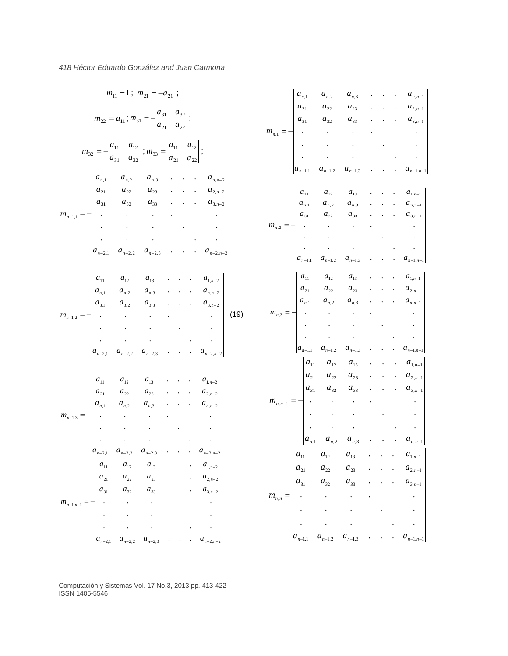$$
m_{11} = 1; m_{21} = -a_{21};
$$
\n
$$
m_{22} = a_{11}; m_{31} = -\begin{vmatrix} a_{31} & a_{32} \\ a_{31} & a_{32} \end{vmatrix};
$$
\n
$$
m_{32} = -\begin{vmatrix} a_{11} & a_{12} \\ a_{21} & a_{22} \end{vmatrix};
$$
\n
$$
m_{33} = -\begin{vmatrix} a_{11} & a_{12} \\ a_{21} & a_{22} \\ a_{21} & a_{22} \end{vmatrix};
$$
\n
$$
m_{n1} = -\begin{vmatrix} a_{n1} & a_{n2} \\ a_{n1} & a_{n2} & a_{n3} \\ a_{n1} & a_{n2} & a_{n3} \end{vmatrix};
$$
\n
$$
m_{n2} = -\begin{vmatrix} a_{n1} & a_{n2} \\ a_{n1} & a_{n2} \\ \vdots & \vdots & \vdots \\ a_{n-1} & a_{n-1} \end{vmatrix};
$$
\n
$$
m_{n3} = -\begin{vmatrix} a_{n1} & a_{n2} \\ a_{n1} & a_{n2} \\ \vdots & \vdots & \vdots \\ a_{n-1} & a_{n-1} \end{vmatrix};
$$
\n
$$
m_{n4} = -\begin{vmatrix} a_{n1} & a_{n2} \\ a_{n1} & a_{n2} \\ \vdots & \vdots & \vdots \\ a_{n-1} & a_{n-1} \end{vmatrix};
$$
\n
$$
m_{n1} = -\begin{vmatrix} a_{n1} & a_{n2} \\ a_{n1} & a_{n2} \\ \vdots & \vdots & \vdots \\ a_{n-1} & a_{n-1} \end{vmatrix};
$$
\n
$$
m_{n2} = -\begin{vmatrix} a_{n1} & a_{n2} \\ a_{n1} & a_{n2} \\ \vdots & \vdots & \vdots \\ a_{n-1} & a_{n-1} \end{vmatrix};
$$
\n
$$
m_{n3} = -\begin{vmatrix} a_{n1} & a_{n2} \\ a_{n1} & a_{n2} \\ \vdots & \vdots & \vdots \\ a_{n-1} & a_{n-1} \end{vmatrix};
$$
\n
$$
m_{n4}
$$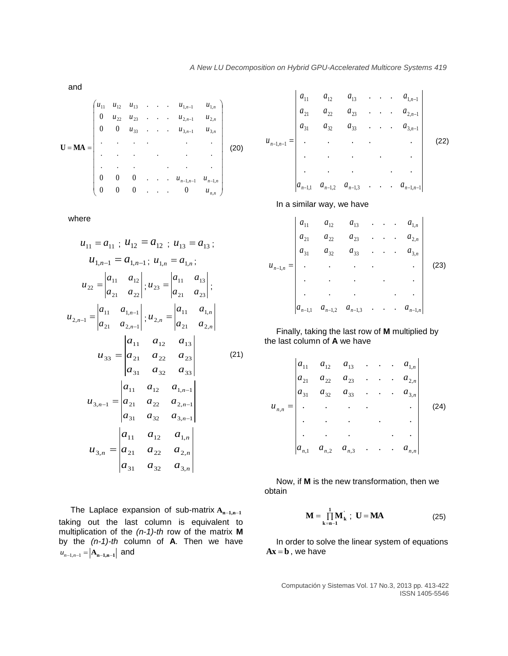and

$$
\mathbf{U} = \mathbf{M}\mathbf{A} = \begin{pmatrix} u_{11} & u_{12} & u_{13} & \cdots & u_{1,n-1} & u_{1,n} \\ 0 & u_{22} & u_{23} & \cdots & u_{2,n-1} & u_{2,n} \\ 0 & 0 & u_{33} & \cdots & u_{3,n-1} & u_{3,n} \\ \vdots & \vdots & \ddots & \vdots & \vdots & \vdots \\ 0 & 0 & 0 & \cdots & u_{n-1,n-1} & u_{n-1,n} \\ 0 & 0 & 0 & \cdots & 0 & u_{n,n} \end{pmatrix}
$$
 (20)

where

$$
u_{11} = a_{11} ; u_{12} = a_{12} ; u_{13} = a_{13} ;
$$
  
\n
$$
u_{1,n-1} = a_{1,n-1} ; u_{1,n} = a_{1,n} ;
$$
  
\n
$$
u_{22} = \begin{vmatrix} a_{11} & a_{12} \\ a_{21} & a_{22} \end{vmatrix} ; u_{23} = \begin{vmatrix} a_{11} & a_{13} \\ a_{21} & a_{23} \end{vmatrix} ;
$$
  
\n
$$
u_{2,n-1} = \begin{vmatrix} a_{11} & a_{1,n-1} \\ a_{21} & a_{2,n-1} \end{vmatrix} ; u_{2,n} = \begin{vmatrix} a_{11} & a_{1,n} \\ a_{21} & a_{2,n} \end{vmatrix}
$$
  
\n
$$
u_{33} = \begin{vmatrix} a_{11} & a_{12} & a_{13} \\ a_{21} & a_{22} & a_{23} \\ a_{31} & a_{32} & a_{33} \end{vmatrix}
$$
  
\n
$$
u_{3,n-1} = \begin{vmatrix} a_{11} & a_{12} & a_{1,n-1} \\ a_{21} & a_{22} & a_{2,n-1} \\ a_{31} & a_{32} & a_{3,n-1} \end{vmatrix}
$$
  
\n
$$
u_{3,n} = \begin{vmatrix} a_{11} & a_{12} & a_{1,n} \\ a_{21} & a_{22} & a_{2,n} \\ a_{31} & a_{32} & a_{3,n} \end{vmatrix}
$$

The Laplace expansion of sub-matrix **An1,n<sup>1</sup>** taking out the last column is equivalent to multiplication of the *(n-1)-th* row of the matrix **M** by the *(n-1)-th* column of **A**. Then we have  $u_{n-1,n-1} = |\mathbf{A_{n-1,n-1}}|$  and

$$
u_{n-1,n-1} = \begin{vmatrix} a_{11} & a_{12} & a_{13} & \cdots & a_{1,n-1} \\ a_{21} & a_{22} & a_{23} & \cdots & a_{2,n-1} \\ a_{31} & a_{32} & a_{33} & \cdots & a_{3,n-1} \\ \vdots & \vdots & \vdots & \ddots & \vdots \\ a_{n-1,1} & a_{n-1,2} & a_{n-1,3} & \cdots & a_{n-1,n-1} \end{vmatrix}
$$
 (22)

In a similar way, we have

$$
u_{n-1,n} = \begin{vmatrix} a_{11} & a_{12} & a_{13} & \cdots & a_{1,n} \\ a_{21} & a_{22} & a_{23} & \cdots & a_{2,n} \\ a_{31} & a_{32} & a_{33} & \cdots & a_{3,n} \\ \vdots & \vdots & \vdots & \ddots & \vdots \\ a_{n-1,1} & a_{n-1,2} & a_{n-1,3} & \cdots & a_{n-1,n} \end{vmatrix}
$$
 (23)

Finally, taking the last row of **M** multiplied by the last column of **A** we have

$$
u_{n,n} = \begin{vmatrix} a_{11} & a_{12} & a_{13} & \cdots & a_{1,n} \\ a_{21} & a_{22} & a_{23} & \cdots & a_{2,n} \\ a_{31} & a_{32} & a_{33} & \cdots & a_{3,n} \\ \vdots & \vdots & \vdots & \ddots & \vdots \\ a_{n,1} & a_{n,2} & a_{n,3} & \cdots & a_{n,n} \end{vmatrix}
$$
 (24)

Now, if **M** is the new transformation, then we obtain

$$
\mathbf{M} = \prod_{k=n-1}^{1} \mathbf{M}_{k}^{'}; \quad \mathbf{U} = \mathbf{M}\mathbf{A}
$$
 (25)

In order to solve the linear system of equations  $Ax = b$ , we have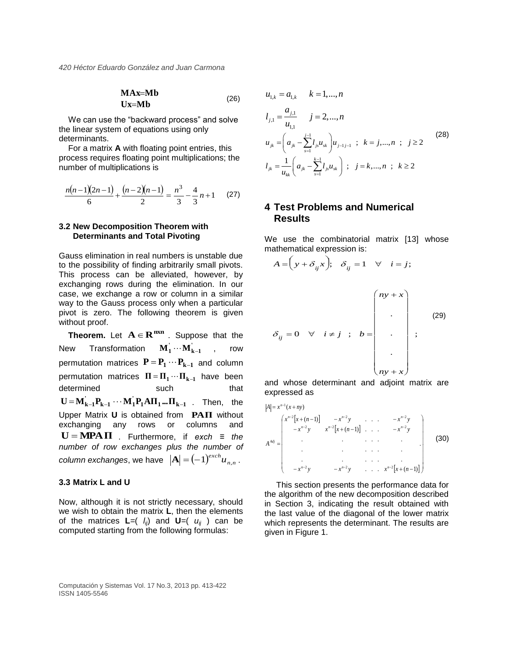$$
MAX=Mb
$$
  
Ux=Mb (26)

We can use the "backward process" and solve the linear system of equations using only determinants.

For a matrix **A** with floating point entries, this process requires floating point multiplications; the number of multiplications is

$$
\frac{n(n-1)(2n-1)}{6} + \frac{(n-2)(n-1)}{2} = \frac{n^3}{3} - \frac{4}{3}n + 1 \qquad (27)
$$

#### **3.2 New Decomposition Theorem with Determinants and Total Pivoting**

Gauss elimination in real numbers is unstable due to the possibility of finding arbitrarily small pivots. This process can be alleviated, however, by exchanging rows during the elimination. In our case, we exchange a row or column in a similar way to the Gauss process only when a particular pivot is zero. The following theorem is given without proof.

**Theorem.** Let  $A \in \mathbb{R}^{m \times n}$ . Suppose that the New Transformation  $\mathbf{M}_1 \cdots \mathbf{M}_{k-1}$  , row permutation matrices  $P = P_1 \cdots P_{k-1}$  and column  $\text{permutation matrices} \quad \Pi = \Pi_1 \cdots \Pi_{k-1}$  have been determined such that  $\mathbf{U} = \mathbf{M}_{k-1}^{\dagger} \mathbf{P}_{k-1} \cdots \mathbf{M}_{1}^{\dagger} \mathbf{P}_{1} \mathbf{A} \mathbf{\Pi}_{1} \ldots \mathbf{\Pi}_{k-1}$ . Then, the Upper Matrix **U** is obtained from **PAΠ** without exchanging any rows or columns and  $U = MPA \Pi$  . Furthermore, if *exch*  $\equiv$  *the number of row exchanges plus the number of column exchanges, we have*  $|\mathbf{A}| = (-1)^{exch} u_{n,n}$ .

### **3.3 Matrix L and U**

Now, although it is not strictly necessary, should we wish to obtain the matrix **L**, then the elements of the matrices  $\mathbf{L} = \begin{pmatrix} l_{ii} \\ l_{ii} \end{pmatrix}$  and  $\mathbf{U} = \begin{pmatrix} u_{ii} \\ u_{ii} \end{pmatrix}$  can be computed starting from the following formulas:

$$
u_{1,k} = a_{1,k} \t k = 1,...,n
$$
  
\n
$$
l_{j,1} = \frac{a_{j,1}}{u_{1,1}} \t j = 2,...,n
$$
  
\n
$$
u_{jk} = \left(a_{jk} - \sum_{s=1}^{j-1} l_{js} u_{sk}\right) u_{j-1,j-1} ; k = j,...,n ; j \ge 2
$$
\n
$$
l_{jk} = \frac{1}{u_{kk}} \left(a_{jk} - \sum_{s=1}^{k-1} l_{js} u_{sk}\right) ; j = k,...,n ; k \ge 2
$$
\n
$$
(28)
$$

## **4 Test Problems and Numerical Results**

 $\Delta$ 

We use the combinatorial matrix [13] whose mathematical expression is:

$$
A = \left(y + \delta_{ij}x\right); \quad \delta_{ij} = 1 \quad \forall \quad i = j;
$$
\n
$$
\delta_{ij} = 0 \quad \forall \quad i \neq j \quad ; \quad b = \begin{bmatrix} ny + x \\ \vdots \\ y + x \\ \vdots \\ y + x \end{bmatrix} ;
$$
\n
$$
(29)
$$

and whose determinant and adjoint matrix are expressed as

$$
A^{Adj} = \begin{pmatrix} x^{n-1}(x+ny) & -x^{n-2}y & \dots & -x^{n-2}y \\ -x^{n-2}y & x^{n-2}[x+(n-1)] & \dots & -x^{n-2}y \\ \vdots & \vdots & \ddots & \vdots \\ -x^{n-2}y & -x^{n-2}y & \dots & x^{n-2}[x+(n-1)] \end{pmatrix}
$$
(30)

This section presents the performance data for the algorithm of the new decomposition described in Section 3, indicating the result obtained with the last value of the diagonal of the lower matrix which represents the determinant. The results are given in Figure 1.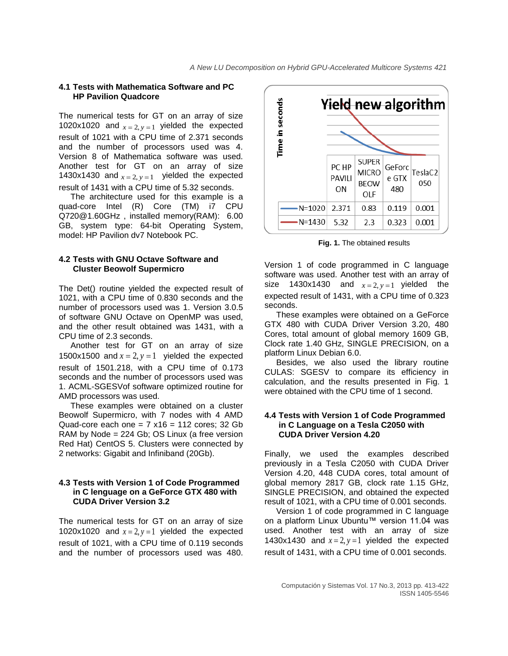#### **4.1 Tests with Mathematica Software and PC HP Pavilion Quadcore**

The numerical tests for GT on an array of size 1020x1020 and  $x = 2$ ,  $y = 1$  yielded the expected result of 1021 with a CPU time of 2.371 seconds and the number of processors used was 4. Version 8 of Mathematica software was used. Another test for GT on an array of size 1430x1430 and  $x = 2$ ,  $y = 1$  yielded the expected result of 1431 with a CPU time of 5.32 seconds.

The architecture used for this example is a quad-core Intel (R) Core (TM) i7 CPU [Q720@1.60GHz](mailto:Q720@1.60GHz) , installed memory(RAM): 6.00 GB, system type: 64-bit Operating System, model: HP Pavilion dv7 Notebook PC.

### **4.2 Tests with GNU Octave Software and Cluster Beowolf Supermicro**

The Det() routine yielded the expected result of 1021, with a CPU time of 0.830 seconds and the number of processors used was 1. Version 3.0.5 of software GNU Octave on OpenMP was used, and the other result obtained was 1431, with a CPU time of 2.3 seconds.

Another test for GT on an array of size 1500x1500 and  $x = 2$ ,  $y = 1$  yielded the expected result of 1501.218, with a CPU time of 0.173 seconds and the number of processors used was 1. ACML-SGESVof software optimized routine for AMD processors was used.

These examples were obtained on a cluster Beowolf Supermicro, with 7 nodes with 4 AMD Quad-core each one =  $7 \times 16 = 112$  cores; 32 Gb RAM by Node = 224 Gb; OS Linux (a free version Red Hat) CentOS 5. Clusters were connected by 2 networks: Gigabit and Infiniband (20Gb).

### **4.3 Tests with Version 1 of Code Programmed in C lenguage on a GeForce GTX 480 with CUDA Driver Version 3.2**

The numerical tests for GT on an array of size 1020x1020 and  $x = 2$ ,  $y = 1$  yielded the expected result of 1021, with a CPU time of 0.119 seconds and the number of processors used was 480.



**Fig. 1.** The obtained **r**esults

Version 1 of code programmed in C language software was used. Another test with an array of size 1430x1430 and  $x=2, y=1$  yielded the expected result of 1431, with a CPU time of 0.323 seconds.

These examples were obtained on a GeForce GTX 480 with CUDA Driver Version 3.20, 480 Cores, total amount of global memory 1609 GB, Clock rate 1.40 GHz, SINGLE PRECISION, on a platform Linux Debian 6.0.

Besides, we also used the library routine CULAS: SGESV to compare its efficiency in calculation, and the results presented in Fig. 1 were obtained with the CPU time of 1 second.

#### **4.4 Tests with Version 1 of Code Programmed in C Language on a Tesla C2050 with CUDA Driver Version 4.20**

Finally, we used the examples described previously in a Tesla C2050 with CUDA Driver Version 4.20, 448 CUDA cores, total amount of global memory 2817 GB, clock rate 1.15 GHz, SINGLE PRECISION, and obtained the expected result of 1021, with a CPU time of 0.001 seconds.

Version 1 of code programmed in C language on a platform Linux Ubuntu™ version 11.04 was used. Another test with an array of size 1430x1430 and  $x = 2$ ,  $y = 1$  yielded the expected result of 1431, with a CPU time of 0.001 seconds.